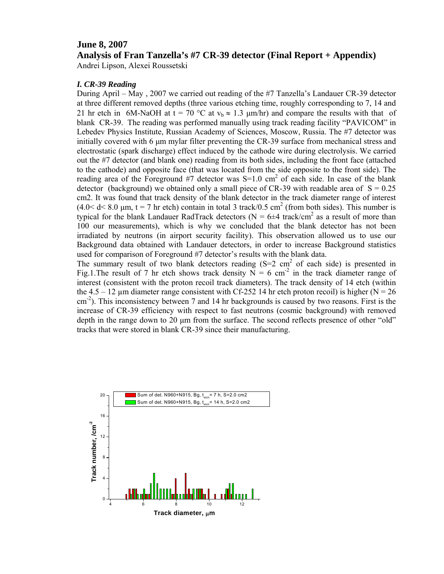## **June 8, 2007**

**Analysis of Fran Tanzella's #7 CR-39 detector (Final Report + Appendix)** 

Andrei Lipson, Alexei Roussetski

## *I. CR-39 Reading*

During April – May , 2007 we carried out reading of the #7 Tanzella's Landauer CR-39 detector at three different removed depths (three various etching time, roughly corresponding to 7, 14 and 21 hr etch in 6M-NaOH at t = 70 °C at  $v_b \approx 1.3 \text{ }\mu\text{m/hr}$  and compare the results with that of blank CR-39. The reading was performed manually using track reading facility "PAVICOM" in Lebedev Physics Institute, Russian Academy of Sciences, Moscow, Russia. The #7 detector was initially covered with 6 μm mylar filter preventing the CR-39 surface from mechanical stress and electrostatic (spark discharge) effect induced by the cathode wire during electrolysis. We carried out the #7 detector (and blank one) reading from its both sides, including the front face (attached to the cathode) and opposite face (that was located from the side opposite to the front side). The reading area of the Foreground  $#7$  detector was S=1.0 cm<sup>2</sup> of each side. In case of the blank detector (background) we obtained only a small piece of CR-39 with readable area of  $S = 0.25$ cm2. It was found that track density of the blank detector in the track diameter range of interest  $(4.0 < d < 8.0 \text{ µm}, t = 7 \text{ hr} \text{ etch})$  contain in total 3 track/0.5 cm<sup>2</sup> (from both sides). This number is typical for the blank Landauer RadTrack detectors ( $N = 6 \pm 4$  track/cm<sup>2</sup> as a result of more than 100 our measurements), which is why we concluded that the blank detector has not been irradiated by neutrons (in airport security facility). This observation allowed us to use our Background data obtained with Landauer detectors, in order to increase Background statistics used for comparison of Foreground #7 detector's results with the blank data.

The summary result of two blank detectors reading  $(S=2 \text{ cm}^2 \text{ of each side})$  is presented in Fig.1. The result of 7 hr etch shows track density  $N = 6$  cm<sup>-2</sup> in the track diameter range of interest (consistent with the proton recoil track diameters). The track density of 14 etch (within the  $4.5 - 12$  µm diameter range consistent with Cf-252 14 hr etch proton recoil) is higher (N = 26  $\text{cm}^2$ ). This inconsistency between 7 and 14 hr backgrounds is caused by two reasons. First is the increase of CR-39 efficiency with respect to fast neutrons (cosmic background) with removed depth in the range down to 20 μm from the surface. The second reflects presence of other "old" tracks that were stored in blank CR-39 since their manufacturing.

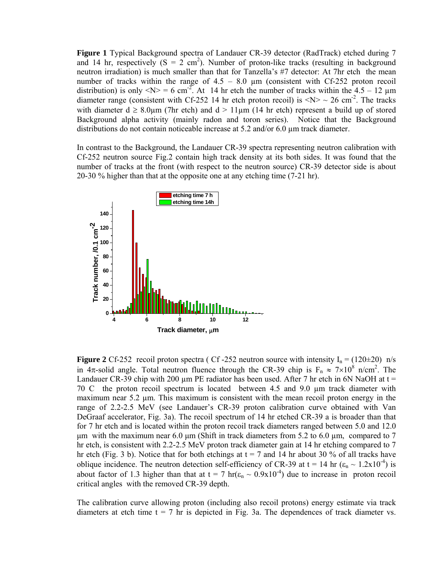**Figure 1** Typical Background spectra of Landauer CR-39 detector (RadTrack) etched during 7 and 14 hr, respectively  $(S = 2 \text{ cm}^2)$ . Number of proton-like tracks (resulting in background neutron irradiation) is much smaller than that for Tanzella's #7 detector: At 7hr etch the mean number of tracks within the range of  $4.5 - 8.0 \mu m$  (consistent with Cf-252 proton recoil distribution) is only  $\langle N \rangle = 6$  cm<sup>-2</sup>. At 14 hr etch the number of tracks within the 4.5 – 12 µm diameter range (consistent with Cf-252 14 hr etch proton recoil) is  $\langle N \rangle \sim 26$  cm<sup>-2</sup>. The tracks with diameter  $d \ge 8.0 \text{µm}$  (7hr etch) and  $d > 11 \text{µm}$  (14 hr etch) represent a build up of stored Background alpha activity (mainly radon and toron series). Notice that the Background distributions do not contain noticeable increase at 5.2 and/or 6.0 µm track diameter.

In contrast to the Background, the Landauer CR-39 spectra representing neutron calibration with Cf-252 neutron source Fig.2 contain high track density at its both sides. It was found that the number of tracks at the front (with respect to the neutron source) CR-39 detector side is about 20-30 % higher than that at the opposite one at any etching time (7-21 hr).



**Figure 2** Cf-252 recoil proton spectra ( Cf-252 neutron source with intensity  $I_n = (120 \pm 20)$  n/s in 4π-solid angle. Total neutron fluence through the CR-39 chip is  $F_n \approx 7 \times 10^8$  n/cm<sup>2</sup>. The Landauer CR-39 chip with 200  $\mu$ m PE radiator has been used. After 7 hr etch in 6N NaOH at t = 70 C the proton recoil spectrum is located between 4.5 and 9.0 µm track diameter with maximum near 5.2  $\mu$ m. This maximum is consistent with the mean recoil proton energy in the range of 2.2-2.5 MeV (see Landauer's CR-39 proton calibration curve obtained with Van DeGraaf accelerator, Fig. 3a). The recoil spectrum of 14 hr etched CR-39 a is broader than that for 7 hr etch and is located within the proton recoil track diameters ranged between 5.0 and 12.0 μm with the maximum near 6.0 μm (Shift in track diameters from 5.2 to 6.0 μm, compared to 7 hr etch, is consistent with 2.2-2.5 MeV proton track diameter gain at 14 hr etching compared to 7 hr etch (Fig. 3 b). Notice that for both etchings at  $t = 7$  and 14 hr about 30 % of all tracks have oblique incidence. The neutron detection self-efficiency of CR-39 at t = 14 hr ( $\varepsilon_n \sim 1.2x10^{-4}$ ) is about factor of 1.3 higher than that at  $t = 7 \text{ hr}(\epsilon_n \sim 0.9 \times 10^{-4})$  due to increase in proton recoil critical angles with the removed CR-39 depth.

The calibration curve allowing proton (including also recoil protons) energy estimate via track diameters at etch time  $t = 7$  hr is depicted in Fig. 3a. The dependences of track diameter vs.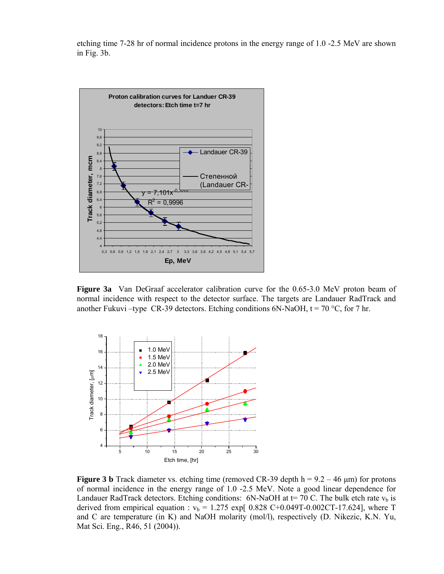etching time 7-28 hr of normal incidence protons in the energy range of 1.0 -2.5 MeV are shown in Fig. 3b.



**Figure 3a** Van DeGraaf accelerator calibration curve for the 0.65-3.0 MeV proton beam of normal incidence with respect to the detector surface. The targets are Landauer RadTrack and another Fukuvi –type CR-39 detectors. Etching conditions 6N-NaOH,  $t = 70$  °C, for 7 hr.



**Figure 3 b** Track diameter vs. etching time (removed CR-39 depth  $h = 9.2 - 46 \mu m$ ) for protons of normal incidence in the energy range of 1.0 -2.5 MeV. Note a good linear dependence for Landauer RadTrack detectors. Etching conditions: 6N-NaOH at  $t=$  70 C. The bulk etch rate  $v<sub>b</sub>$  is derived from empirical equation :  $v_b = 1.275 \exp[0.828 \text{ C}+0.049 \text{T}-0.002 \text{ C} \text{T}-17.624]$ , where T and C are temperature (in K) and NaOH molarity (mol/l), respectively (D. Nikezic, K.N. Yu, Mat Sci. Eng., R46, 51 (2004)).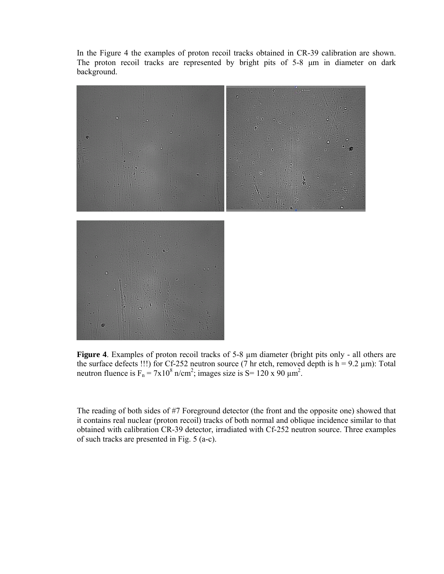In the Figure 4 the examples of proton recoil tracks obtained in CR-39 calibration are shown. The proton recoil tracks are represented by bright pits of 5-8 μm in diameter on dark background.



**Figure 4**. Examples of proton recoil tracks of 5-8 µm diameter (bright pits only - all others are the surface defects !!!) for Cf-252 neutron source (7 hr etch, removed depth is  $h = 9.2 \mu m$ ): Total neutron fluence is  $F_n = 7x10^8$  n/cm<sup>2</sup>; images size is S= 120 x 90  $\mu$ m<sup>2</sup>.

The reading of both sides of #7 Foreground detector (the front and the opposite one) showed that it contains real nuclear (proton recoil) tracks of both normal and oblique incidence similar to that obtained with calibration CR-39 detector, irradiated with Cf-252 neutron source. Three examples of such tracks are presented in Fig. 5 (a-c).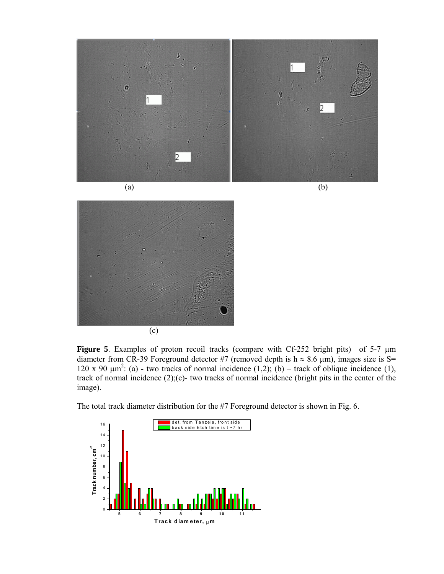



**Figure 5**. Examples of proton recoil tracks (compare with Cf-252 bright pits) of 5-7 µm diameter from CR-39 Foreground detector #7 (removed depth is  $h \approx 8.6 \mu m$ ), images size is S= 120 x 90  $\mu$ m<sup>2</sup>: (a) - two tracks of normal incidence (1,2); (b) – track of oblique incidence (1), track of normal incidence (2);(c)- two tracks of normal incidence (bright pits in the center of the image).

The total track diameter distribution for the #7 Foreground detector is shown in Fig. 6.

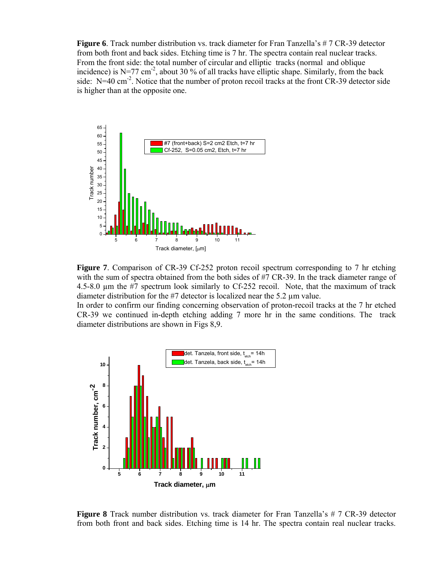**Figure 6**. Track number distribution vs. track diameter for Fran Tanzella's # 7 CR-39 detector from both front and back sides. Etching time is 7 hr. The spectra contain real nuclear tracks. From the front side: the total number of circular and elliptic tracks (normal and oblique incidence) is N=77 cm<sup>-2</sup>, about 30 % of all tracks have elliptic shape. Similarly, from the back side:  $N=40$  cm<sup>-2</sup>. Notice that the number of proton recoil tracks at the front CR-39 detector side is higher than at the opposite one.



**Figure 7**. Comparison of CR-39 Cf-252 proton recoil spectrum corresponding to 7 hr etching with the sum of spectra obtained from the both sides of #7 CR-39. In the track diameter range of 4.5-8.0 µm the #7 spectrum look similarly to Cf-252 recoil. Note, that the maximum of track diameter distribution for the #7 detector is localized near the 5.2 µm value.

In order to confirm our finding concerning observation of proton-recoil tracks at the 7 hr etched CR-39 we continued in-depth etching adding 7 more hr in the same conditions. The track diameter distributions are shown in Figs 8,9.



**Figure 8** Track number distribution vs. track diameter for Fran Tanzella's # 7 CR-39 detector from both front and back sides. Etching time is 14 hr. The spectra contain real nuclear tracks.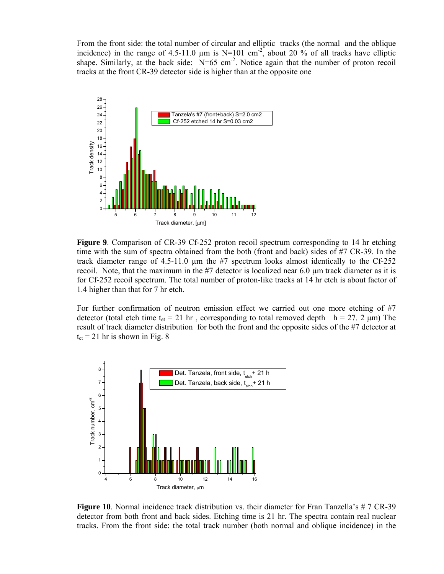From the front side: the total number of circular and elliptic tracks (the normal and the oblique incidence) in the range of 4.5-11.0  $\mu$ m is N=101 cm<sup>-2</sup>, about 20 % of all tracks have elliptic shape. Similarly, at the back side:  $N=65$  cm<sup>-2</sup>. Notice again that the number of proton recoil tracks at the front CR-39 detector side is higher than at the opposite one



**Figure 9.** Comparison of CR-39 Cf-252 proton recoil spectrum corresponding to 14 hr etching time with the sum of spectra obtained from the both (front and back) sides of #7 CR-39. In the track diameter range of 4.5-11.0 µm the #7 spectrum looks almost identically to the Cf-252 recoil. Note, that the maximum in the #7 detector is localized near 6.0 µm track diameter as it is for Cf-252 recoil spectrum. The total number of proton-like tracks at 14 hr etch is about factor of 1.4 higher than that for 7 hr etch.

For further confirmation of neutron emission effect we carried out one more etching of #7 detector (total etch time t<sub>et</sub> = 21 hr, corresponding to total removed depth h = 27. 2  $\mu$ m) The result of track diameter distribution for both the front and the opposite sides of the #7 detector at  $t_{et}$  = 21 hr is shown in Fig. 8



**Figure 10**. Normal incidence track distribution vs. their diameter for Fran Tanzella's # 7 CR-39 detector from both front and back sides. Etching time is 21 hr. The spectra contain real nuclear tracks. From the front side: the total track number (both normal and oblique incidence) in the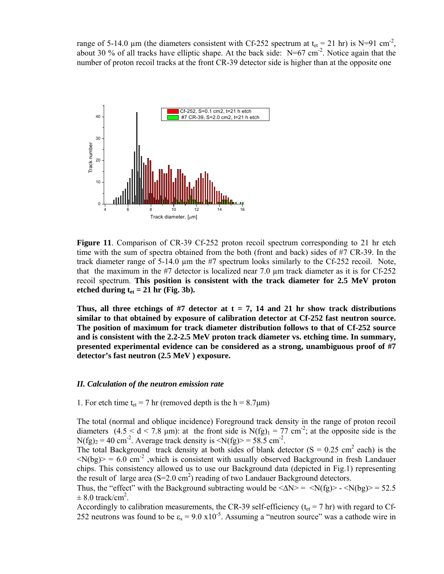range of 5-14.0 µm (the diameters consistent with Cf-252 spectrum at  $t_{et} = 21$  hr) is N=91 cm<sup>-2</sup>, about 30 % of all tracks have elliptic shape. At the back side: N=67 cm<sup>-2</sup>. Notice again that the number of proton recoil tracks at the front CR-39 detector side is higher than at the opposite one



**Figure 11**. Comparison of CR-39 Cf-252 proton recoil spectrum corresponding to 21 hr etch time with the sum of spectra obtained from the both (front and back) sides of #7 CR-39. In the track diameter range of 5-14.0 µm the #7 spectrum looks similarly to the Cf-252 recoil. Note, that the maximum in the #7 detector is localized near 7.0 µm track diameter as it is for Cf-252 recoil spectrum. **This position is consistent with the track diameter for 2.5 MeV proton**  etched during  $t_{et} = 21$  hr (Fig. 3b).

Thus, all three etchings of #7 detector at  $t = 7$ , 14 and 21 hr show track distributions **similar to that obtained by exposure of calibration detector at Cf-252 fast neutron source. The position of maximum for track diameter distribution follows to that of Cf-252 source and is consistent with the 2.2-2.5 MeV proton track diameter vs. etching time. In summary, presented experimental evidence can be considered as a strong, unambiguous proof of #7 detector's fast neutron (2.5 MeV ) exposure.** 

## *II. Calculation of the neutron emission rate*

1. For etch time  $t_{et} = 7$  hr (removed depth is the h =  $8.7 \mu m$ )

The total (normal and oblique incidence) Foreground track density in the range of proton recoil diameters  $(4.5 < d < 7.8 \text{ µm})$ : at the front side is N(fg)<sub>1</sub> = 77 cm<sup>-2</sup>; at the opposite side is the  $N(fg)_2 = 40$  cm<sup>-2</sup>. Average track density is  $\langle N(fg) \rangle = 58.5$  cm<sup>-2</sup>.

The total Background track density at both sides of blank detector  $(S = 0.25 \text{ cm}^2 \text{ each})$  is the  $\langle N(bg) \rangle = 6.0$  cm<sup>-2</sup>, which is consistent with usually observed Background in fresh Landauer chips. This consistency allowed us to use our Background data (depicted in Fig.1) representing the result of large area  $(S=2.0 \text{ cm}^2)$  reading of two Landauer Background detectors.

Thus, the "effect" with the Background subtracting would be  $\langle \Delta N \rangle = \langle N(fg) \rangle - \langle N(hg) \rangle = 52.5$  $\pm$  8.0 track/cm<sup>2</sup>.

Accordingly to calibration measurements, the CR-39 self-efficiency ( $t_{et}$  = 7 hr) with regard to Cf-252 neutrons was found to be  $\varepsilon_s = 9.0 \times 10^{-5}$ . Assuming a "neutron source" was a cathode wire in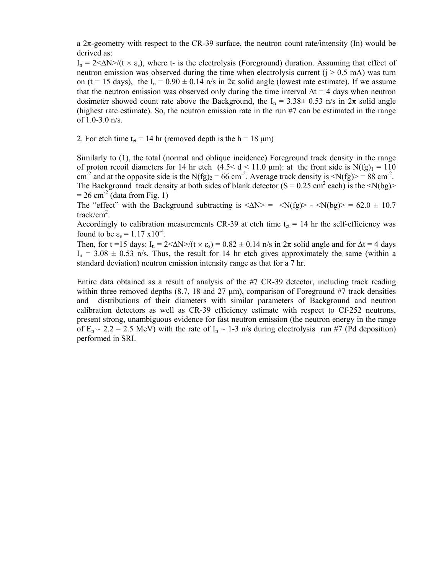a  $2\pi$ -geometry with respect to the CR-39 surface, the neutron count rate/intensity (In) would be derived as:

 $I_n = 2 \langle \Delta N \rangle / (t \times \varepsilon_s)$ , where t- is the electrolysis (Foreground) duration. Assuming that effect of neutron emission was observed during the time when electrolysis current  $(i > 0.5$  mA) was turn on (t = 15 days), the  $I_n = 0.90 \pm 0.14$  n/s in  $2\pi$  solid angle (lowest rate estimate). If we assume that the neutron emission was observed only during the time interval  $\Delta t = 4$  days when neutron dosimeter showed count rate above the Background, the I<sub>n</sub> =  $3.38\pm 0.53$  n/s in  $2\pi$  solid angle (highest rate estimate). So, the neutron emission rate in the run #7 can be estimated in the range of 1.0-3.0 n/s.

2. For etch time t<sub>et</sub> = 14 hr (removed depth is the h = 18  $\mu$ m)

Similarly to (1), the total (normal and oblique incidence) Foreground track density in the range of proton recoil diameters for 14 hr etch  $(4.5 < d < 11.0 \text{ }\mu\text{m})$ : at the front side is N(fg)<sub>1</sub> = 110 cm<sup>-2</sup> and at the opposite side is the N(fg)<sub>2</sub> = 66 cm<sup>-2</sup>. Average track density is <N(fg)> = 88 cm<sup>-2</sup>. The Background track density at both sides of blank detector  $(S = 0.25 \text{ cm}^2 \text{ each})$  is the <N(bg)>  $= 26$  cm<sup>-2</sup> (data from Fig. 1)

The "effect" with the Background subtracting is  $\langle \Delta N \rangle = \langle N(fg) \rangle - \langle N(hg) \rangle = 62.0 \pm 10.7$ track/cm<sup>2</sup>.

Accordingly to calibration measurements CR-39 at etch time  $t_{et} = 14$  hr the self-efficiency was found to be  $\varepsilon_s = 1.17 \times 10^{-4}$ .

Then, for t =15 days:  $I_n = 2 \langle \Delta N \rangle / (t \times \varepsilon_s) = 0.82 \pm 0.14$  n/s in  $2\pi$  solid angle and for  $\Delta t = 4$  days  $I_n = 3.08 \pm 0.53$  n/s. Thus, the result for 14 hr etch gives approximately the same (within a standard deviation) neutron emission intensity range as that for a 7 hr.

Entire data obtained as a result of analysis of the #7 CR-39 detector, including track reading within three removed depths  $(8.7, 18 \text{ and } 27 \text{ µm})$ , comparison of Foreground #7 track densities and distributions of their diameters with similar parameters of Background and neutron calibration detectors as well as CR-39 efficiency estimate with respect to Cf-252 neutrons, present strong, unambiguous evidence for fast neutron emission (the neutron energy in the range of  $E_n \sim 2.2 - 2.5$  MeV) with the rate of  $I_n \sim 1$ -3 n/s during electrolysis run #7 (Pd deposition) performed in SRI.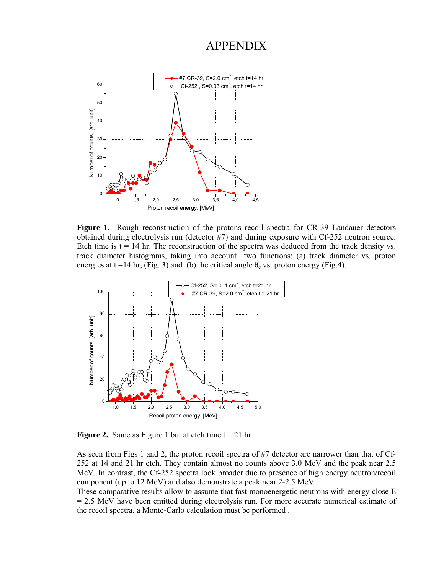## APPENDIX



**Figure 1**. Rough reconstruction of the protons recoil spectra for CR-39 Landauer detectors obtained during electrolysis run (detector #7) and during exposure with Cf-252 neutron source. Etch time is  $t = 14$  hr. The reconstruction of the spectra was deduced from the track density vs. track diameter histograms, taking into account two functions: (a) track diameter vs. proton energies at t =14 hr, (Fig. 3) and (b) the critical angle  $\theta_c$  vs. proton energy (Fig.4).



**Figure 2.** Same as Figure 1 but at etch time  $t = 21$  hr.

As seen from Figs 1 and 2, the proton recoil spectra of #7 detector are narrower than that of Cf-252 at 14 and 21 hr etch. They contain almost no counts above 3.0 MeV and the peak near 2.5 MeV. In contrast, the Cf-252 spectra look broader due to presence of high energy neutron/recoil component (up to 12 MeV) and also demonstrate a peak near 2-2.5 MeV.

These comparative results allow to assume that fast monoenergetic neutrons with energy close E = 2.5 MeV have been emitted during electrolysis run. For more accurate numerical estimate of the recoil spectra, a Monte-Carlo calculation must be performed .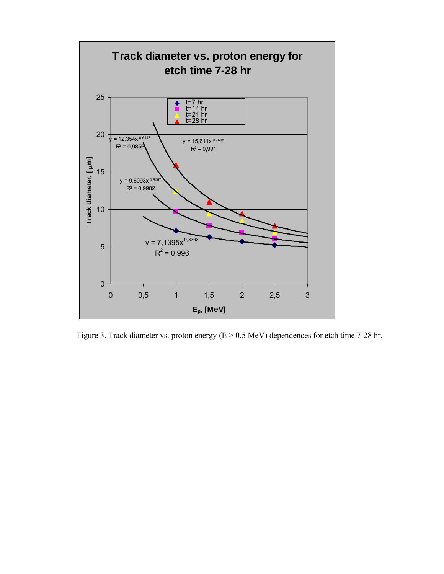

Figure 3. Track diameter vs. proton energy (E > 0.5 MeV) dependences for etch time 7-28 hr.